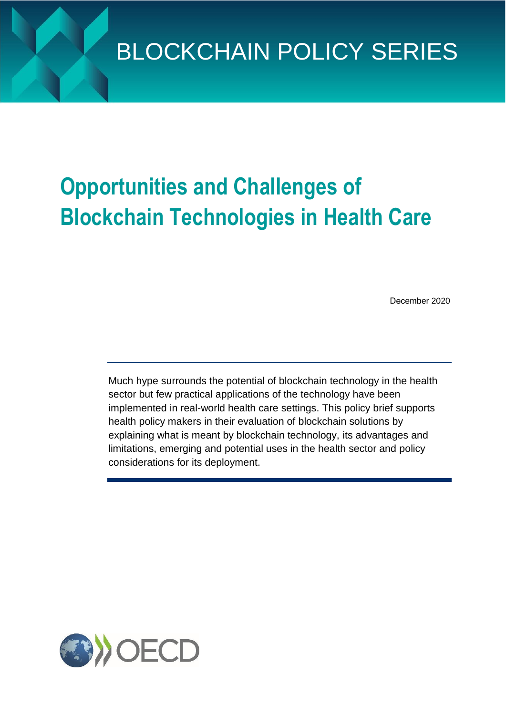# **Opportunities and Challenges of Blockchain Technologies in Health Care**

December 2020

Much hype surrounds the potential of blockchain technology in the health sector but few practical applications of the technology have been implemented in real-world health care settings. This policy brief supports health policy makers in their evaluation of blockchain solutions by explaining what is meant by blockchain technology, its advantages and limitations, emerging and potential uses in the health sector and policy considerations for its deployment.

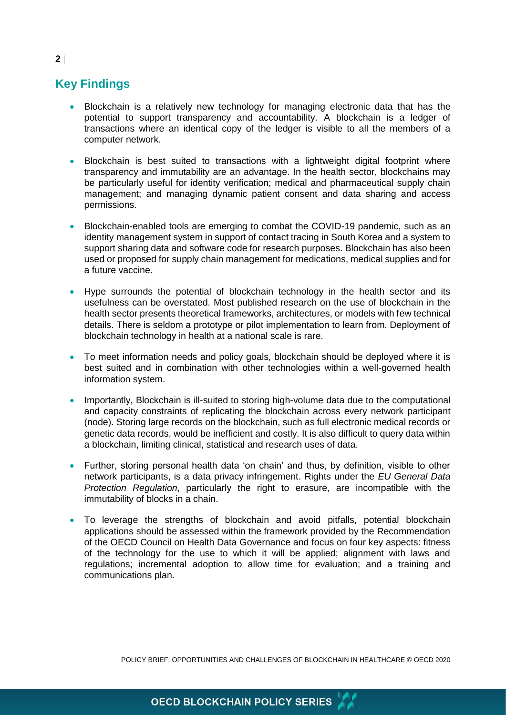## **Key Findings**

- Blockchain is a relatively new technology for managing electronic data that has the potential to support transparency and accountability. A blockchain is a ledger of transactions where an identical copy of the ledger is visible to all the members of a computer network.
- Blockchain is best suited to transactions with a lightweight digital footprint where transparency and immutability are an advantage. In the health sector, blockchains may be particularly useful for identity verification; medical and pharmaceutical supply chain management; and managing dynamic patient consent and data sharing and access permissions.
- Blockchain-enabled tools are emerging to combat the COVID-19 pandemic, such as an identity management system in support of contact tracing in South Korea and a system to support sharing data and software code for research purposes. Blockchain has also been used or proposed for supply chain management for medications, medical supplies and for a future vaccine.
- Hype surrounds the potential of blockchain technology in the health sector and its usefulness can be overstated. Most published research on the use of blockchain in the health sector presents theoretical frameworks, architectures, or models with few technical details. There is seldom a prototype or pilot implementation to learn from. Deployment of blockchain technology in health at a national scale is rare.
- To meet information needs and policy goals, blockchain should be deployed where it is best suited and in combination with other technologies within a well-governed health information system.
- Importantly, Blockchain is ill-suited to storing high-volume data due to the computational and capacity constraints of replicating the blockchain across every network participant (node). Storing large records on the blockchain, such as full electronic medical records or genetic data records, would be inefficient and costly. It is also difficult to query data within a blockchain, limiting clinical, statistical and research uses of data.
- Further, storing personal health data 'on chain' and thus, by definition, visible to other network participants, is a data privacy infringement. Rights under the *EU General Data Protection Regulation*, particularly the right to erasure, are incompatible with the immutability of blocks in a chain.
- To leverage the strengths of blockchain and avoid pitfalls, potential blockchain applications should be assessed within the framework provided by the Recommendation of the OECD Council on Health Data Governance and focus on four key aspects: fitness of the technology for the use to which it will be applied; alignment with laws and regulations; incremental adoption to allow time for evaluation; and a training and communications plan.

POLICY BRIEF: OPPORTUNITIES AND CHALLENGES OF BLOCKCHAIN IN HEALTHCARE © OECD 2020

#### **2**

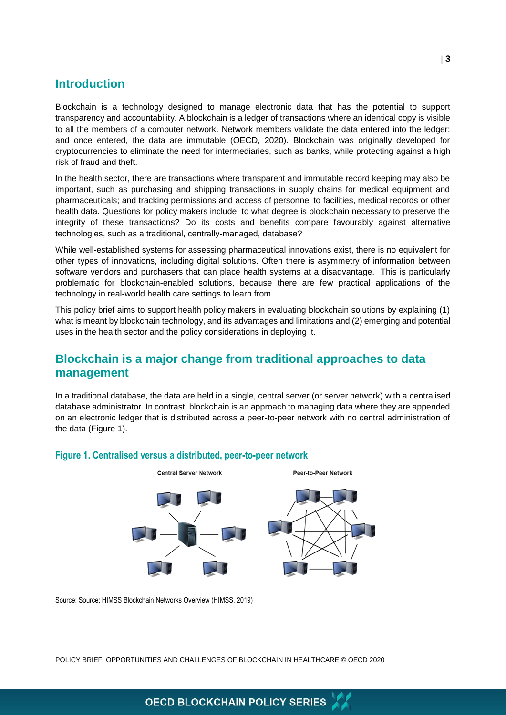#### **Introduction**

Blockchain is a technology designed to manage electronic data that has the potential to support transparency and accountability. A blockchain is a ledger of transactions where an identical copy is visible to all the members of a computer network. Network members validate the data entered into the ledger; and once entered, the data are immutable (OECD, 2020). Blockchain was originally developed for cryptocurrencies to eliminate the need for intermediaries, such as banks, while protecting against a high risk of fraud and theft.

In the health sector, there are transactions where transparent and immutable record keeping may also be important, such as purchasing and shipping transactions in supply chains for medical equipment and pharmaceuticals; and tracking permissions and access of personnel to facilities, medical records or other health data. Questions for policy makers include, to what degree is blockchain necessary to preserve the integrity of these transactions? Do its costs and benefits compare favourably against alternative technologies, such as a traditional, centrally-managed, database?

While well-established systems for assessing pharmaceutical innovations exist, there is no equivalent for other types of innovations, including digital solutions. Often there is asymmetry of information between software vendors and purchasers that can place health systems at a disadvantage. This is particularly problematic for blockchain-enabled solutions, because there are few practical applications of the technology in real-world health care settings to learn from.

This policy brief aims to support health policy makers in evaluating blockchain solutions by explaining (1) what is meant by blockchain technology, and its advantages and limitations and (2) emerging and potential uses in the health sector and the policy considerations in deploying it.

## **Blockchain is a major change from traditional approaches to data management**

In a traditional database, the data are held in a single, central server (or server network) with a centralised database administrator. In contrast, blockchain is an approach to managing data where they are appended on an electronic ledger that is distributed across a peer-to-peer network with no central administration of the data (Figure 1).



#### **Figure 1. Centralised versus a distributed, peer-to-peer network**

Source: Source: HIMSS Blockchain Networks Overview (HIMSS, 2019)

POLICY BRIEF: OPPORTUNITIES AND CHALLENGES OF BLOCKCHAIN IN HEALTHCARE © OECD 2020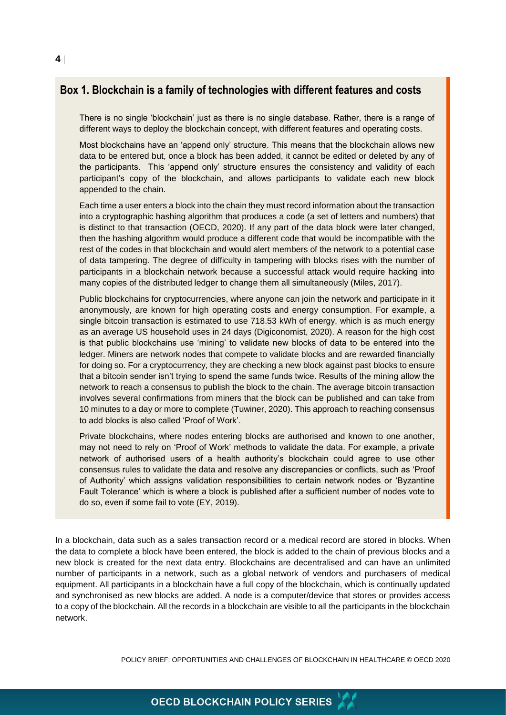#### **Box 1. Blockchain is a family of technologies with different features and costs**

There is no single 'blockchain' just as there is no single database. Rather, there is a range of different ways to deploy the blockchain concept, with different features and operating costs.

Most blockchains have an 'append only' structure. This means that the blockchain allows new data to be entered but, once a block has been added, it cannot be edited or deleted by any of the participants. This 'append only' structure ensures the consistency and validity of each participant's copy of the blockchain, and allows participants to validate each new block appended to the chain.

Each time a user enters a block into the chain they must record information about the transaction into a cryptographic hashing algorithm that produces a code (a set of letters and numbers) that is distinct to that transaction (OECD, 2020). If any part of the data block were later changed, then the hashing algorithm would produce a different code that would be incompatible with the rest of the codes in that blockchain and would alert members of the network to a potential case of data tampering. The degree of difficulty in tampering with blocks rises with the number of participants in a blockchain network because a successful attack would require hacking into many copies of the distributed ledger to change them all simultaneously (Miles, 2017).

Public blockchains for cryptocurrencies, where anyone can join the network and participate in it anonymously, are known for high operating costs and energy consumption. For example, a single bitcoin transaction is estimated to use 718.53 kWh of energy, which is as much energy as an average US household uses in 24 days (Digiconomist, 2020). A reason for the high cost is that public blockchains use 'mining' to validate new blocks of data to be entered into the ledger. Miners are network nodes that compete to validate blocks and are rewarded financially for doing so. For a cryptocurrency, they are checking a new block against past blocks to ensure that a bitcoin sender isn't trying to spend the same funds twice. Results of the mining allow the network to reach a consensus to publish the block to the chain. The average bitcoin transaction involves several confirmations from miners that the block can be published and can take from 10 minutes to a day or more to complete (Tuwiner, 2020). This approach to reaching consensus to add blocks is also called 'Proof of Work'.

Private blockchains, where nodes entering blocks are authorised and known to one another, may not need to rely on 'Proof of Work' methods to validate the data. For example, a private network of authorised users of a health authority's blockchain could agree to use other consensus rules to validate the data and resolve any discrepancies or conflicts, such as 'Proof of Authority' which assigns validation responsibilities to certain network nodes or 'Byzantine Fault Tolerance' which is where a block is published after a sufficient number of nodes vote to do so, even if some fail to vote (EY, 2019).

In a blockchain, data such as a sales transaction record or a medical record are stored in blocks. When the data to complete a block have been entered, the block is added to the chain of previous blocks and a new block is created for the next data entry. Blockchains are decentralised and can have an unlimited number of participants in a network, such as a global network of vendors and purchasers of medical equipment. All participants in a blockchain have a full copy of the blockchain, which is continually updated and synchronised as new blocks are added. A node is a computer/device that stores or provides access to a copy of the blockchain. All the records in a blockchain are visible to all the participants in the blockchain network.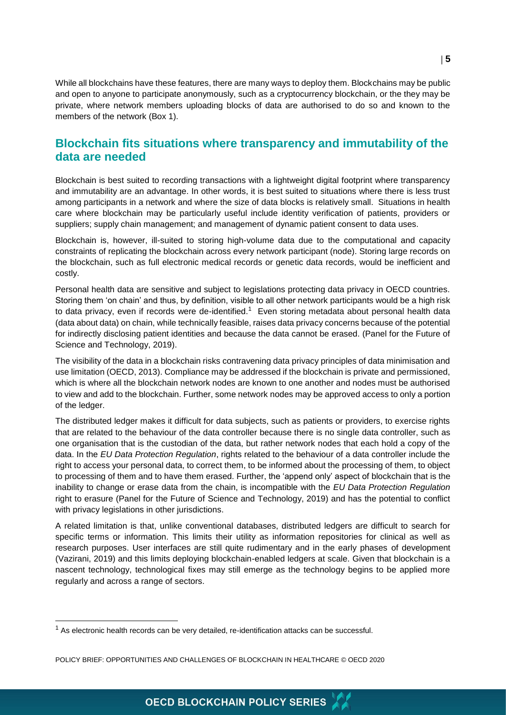While all blockchains have these features, there are many ways to deploy them. Blockchains may be public and open to anyone to participate anonymously, such as a cryptocurrency blockchain, or the they may be private, where network members uploading blocks of data are authorised to do so and known to the members of the network (Box 1).

## **Blockchain fits situations where transparency and immutability of the data are needed**

Blockchain is best suited to recording transactions with a lightweight digital footprint where transparency and immutability are an advantage. In other words, it is best suited to situations where there is less trust among participants in a network and where the size of data blocks is relatively small. Situations in health care where blockchain may be particularly useful include identity verification of patients, providers or suppliers; supply chain management; and management of dynamic patient consent to data uses.

Blockchain is, however, ill-suited to storing high-volume data due to the computational and capacity constraints of replicating the blockchain across every network participant (node). Storing large records on the blockchain, such as full electronic medical records or genetic data records, would be inefficient and costly.

Personal health data are sensitive and subject to legislations protecting data privacy in OECD countries. Storing them 'on chain' and thus, by definition, visible to all other network participants would be a high risk to data privacy, even if records were de-identified.<sup>1</sup> Even storing metadata about personal health data (data about data) on chain, while technically feasible, raises data privacy concerns because of the potential for indirectly disclosing patient identities and because the data cannot be erased. (Panel for the Future of Science and Technology, 2019).

The visibility of the data in a blockchain risks contravening data privacy principles of data minimisation and use limitation (OECD, 2013). Compliance may be addressed if the blockchain is private and permissioned, which is where all the blockchain network nodes are known to one another and nodes must be authorised to view and add to the blockchain. Further, some network nodes may be approved access to only a portion of the ledger.

The distributed ledger makes it difficult for data subjects, such as patients or providers, to exercise rights that are related to the behaviour of the data controller because there is no single data controller, such as one organisation that is the custodian of the data, but rather network nodes that each hold a copy of the data. In the *EU Data Protection Regulation*, rights related to the behaviour of a data controller include the right to access your personal data, to correct them, to be informed about the processing of them, to object to processing of them and to have them erased. Further, the 'append only' aspect of blockchain that is the inability to change or erase data from the chain, is incompatible with the *EU Data Protection Regulation* right to erasure (Panel for the Future of Science and Technology, 2019) and has the potential to conflict with privacy legislations in other jurisdictions.

A related limitation is that, unlike conventional databases, distributed ledgers are difficult to search for specific terms or information. This limits their utility as information repositories for clinical as well as research purposes. User interfaces are still quite rudimentary and in the early phases of development (Vazirani, 2019) and this limits deploying blockchain-enabled ledgers at scale. Given that blockchain is a nascent technology, technological fixes may still emerge as the technology begins to be applied more regularly and across a range of sectors.

 $1$  As electronic health records can be very detailed, re-identification attacks can be successful.

POLICY BRIEF: OPPORTUNITIES AND CHALLENGES OF BLOCKCHAIN IN HEALTHCARE © OECD 2020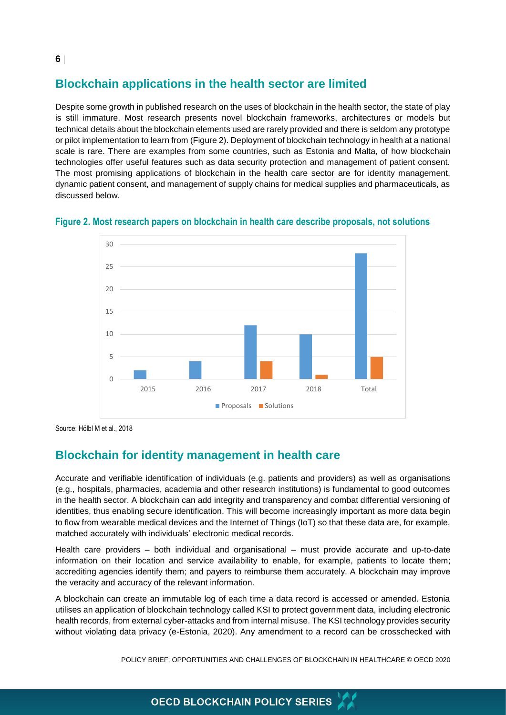# **Blockchain applications in the health sector are limited**

Despite some growth in published research on the uses of blockchain in the health sector, the state of play is still immature. Most research presents novel blockchain frameworks, architectures or models but technical details about the blockchain elements used are rarely provided and there is seldom any prototype or pilot implementation to learn from (Figure 2). Deployment of blockchain technology in health at a national scale is rare. There are examples from some countries, such as Estonia and Malta, of how blockchain technologies offer useful features such as data security protection and management of patient consent. The most promising applications of blockchain in the health care sector are for identity management, dynamic patient consent, and management of supply chains for medical supplies and pharmaceuticals, as discussed below.



**Figure 2. Most research papers on blockchain in health care describe proposals, not solutions**

Source: Hölbl M et al., 2018

## **Blockchain for identity management in health care**

Accurate and verifiable identification of individuals (e.g. patients and providers) as well as organisations (e.g., hospitals, pharmacies, academia and other research institutions) is fundamental to good outcomes in the health sector. A blockchain can add integrity and transparency and combat differential versioning of identities, thus enabling secure identification. This will become increasingly important as more data begin to flow from wearable medical devices and the Internet of Things (IoT) so that these data are, for example, matched accurately with individuals' electronic medical records.

Health care providers – both individual and organisational – must provide accurate and up-to-date information on their location and service availability to enable, for example, patients to locate them; accrediting agencies identify them; and payers to reimburse them accurately. A blockchain may improve the veracity and accuracy of the relevant information.

A blockchain can create an immutable log of each time a data record is accessed or amended. Estonia utilises an application of blockchain technology called KSI to protect government data, including electronic health records, from external cyber-attacks and from internal misuse. The KSI technology provides security without violating data privacy (e-Estonia, 2020). Any amendment to a record can be crosschecked with

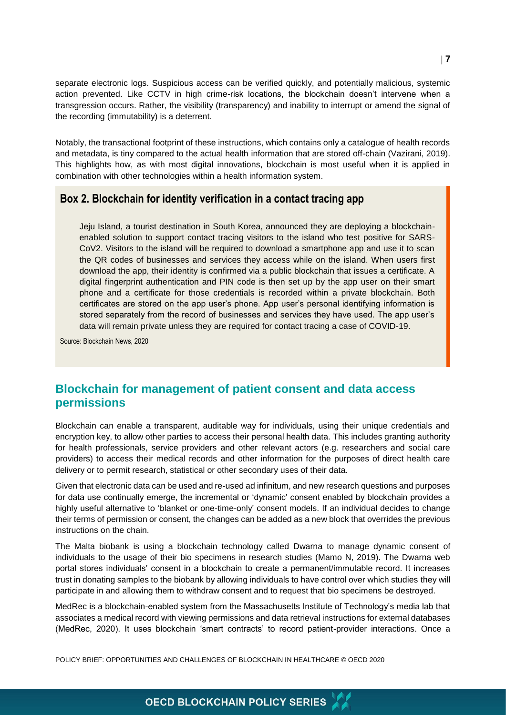separate electronic logs. Suspicious access can be verified quickly, and potentially malicious, systemic action prevented. Like CCTV in high crime-risk locations, the blockchain doesn't intervene when a transgression occurs. Rather, the visibility (transparency) and inability to interrupt or amend the signal of the recording (immutability) is a deterrent.

Notably, the transactional footprint of these instructions, which contains only a catalogue of health records and metadata, is tiny compared to the actual health information that are stored off-chain (Vazirani, 2019). This highlights how, as with most digital innovations, blockchain is most useful when it is applied in combination with other technologies within a health information system.

#### **Box 2. Blockchain for identity verification in a contact tracing app**

Jeju Island, a tourist destination in South Korea, announced they are deploying a blockchainenabled solution to support contact tracing visitors to the island who test positive for SARS-CoV2. Visitors to the island will be required to download a smartphone app and use it to scan the QR codes of businesses and services they access while on the island. When users first download the app, their identity is confirmed via a public blockchain that issues a certificate. A digital fingerprint authentication and PIN code is then set up by the app user on their smart phone and a certificate for those credentials is recorded within a private blockchain. Both certificates are stored on the app user's phone. App user's personal identifying information is stored separately from the record of businesses and services they have used. The app user's data will remain private unless they are required for contact tracing a case of COVID-19.

Source: Blockchain News, 2020

## **Blockchain for management of patient consent and data access permissions**

Blockchain can enable a transparent, auditable way for individuals, using their unique credentials and encryption key, to allow other parties to access their personal health data. This includes granting authority for health professionals, service providers and other relevant actors (e.g. researchers and social care providers) to access their medical records and other information for the purposes of direct health care delivery or to permit research, statistical or other secondary uses of their data.

Given that electronic data can be used and re-used ad infinitum, and new research questions and purposes for data use continually emerge, the incremental or 'dynamic' consent enabled by blockchain provides a highly useful alternative to 'blanket or one-time-only' consent models. If an individual decides to change their terms of permission or consent, the changes can be added as a new block that overrides the previous instructions on the chain.

The Malta biobank is using a blockchain technology called Dwarna to manage dynamic consent of individuals to the usage of their bio specimens in research studies (Mamo N, 2019). The Dwarna web portal stores individuals' consent in a blockchain to create a permanent/immutable record. It increases trust in donating samples to the biobank by allowing individuals to have control over which studies they will participate in and allowing them to withdraw consent and to request that bio specimens be destroyed.

MedRec is a blockchain-enabled system from the Massachusetts Institute of Technology's media lab that associates a medical record with viewing permissions and data retrieval instructions for external databases (MedRec, 2020). It uses blockchain 'smart contracts' to record patient-provider interactions. Once a

POLICY BRIEF: OPPORTUNITIES AND CHALLENGES OF BLOCKCHAIN IN HEALTHCARE © OECD 2020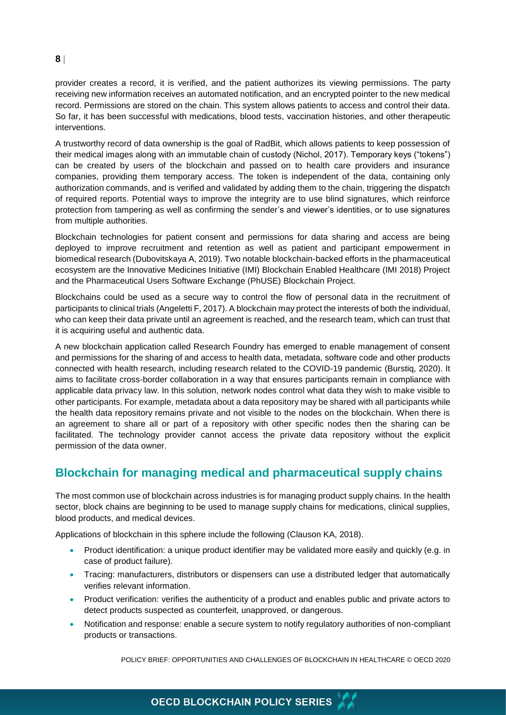#### **8**

provider creates a record, it is verified, and the patient authorizes its viewing permissions. The party receiving new information receives an automated notification, and an encrypted pointer to the new medical record. Permissions are stored on the chain. This system allows patients to access and control their data. So far, it has been successful with medications, blood tests, vaccination histories, and other therapeutic interventions.

A trustworthy record of data ownership is the goal of RadBit, which allows patients to keep possession of their medical images along with an immutable chain of custody (Nichol, 2017). Temporary keys ("tokens") can be created by users of the blockchain and passed on to health care providers and insurance companies, providing them temporary access. The token is independent of the data, containing only authorization commands, and is verified and validated by adding them to the chain, triggering the dispatch of required reports. Potential ways to improve the integrity are to use blind signatures, which reinforce protection from tampering as well as confirming the sender's and viewer's identities, or to use signatures from multiple authorities.

Blockchain technologies for patient consent and permissions for data sharing and access are being deployed to improve recruitment and retention as well as patient and participant empowerment in biomedical research (Dubovitskaya A, 2019). Two notable blockchain-backed efforts in the pharmaceutical ecosystem are the Innovative Medicines Initiative (IMI) Blockchain Enabled Healthcare (IMI 2018) Project and the Pharmaceutical Users Software Exchange (PhUSE) Blockchain Project.

Blockchains could be used as a secure way to control the flow of personal data in the recruitment of participants to clinical trials (Angeletti F, 2017). A blockchain may protect the interests of both the individual, who can keep their data private until an agreement is reached, and the research team, which can trust that it is acquiring useful and authentic data.

A new blockchain application called Research Foundry has emerged to enable management of consent and permissions for the sharing of and access to health data, metadata, software code and other products connected with health research, including research related to the COVID-19 pandemic (Burstiq, 2020). It aims to facilitate cross-border collaboration in a way that ensures participants remain in compliance with applicable data privacy law. In this solution, network nodes control what data they wish to make visible to other participants. For example, metadata about a data repository may be shared with all participants while the health data repository remains private and not visible to the nodes on the blockchain. When there is an agreement to share all or part of a repository with other specific nodes then the sharing can be facilitated. The technology provider cannot access the private data repository without the explicit permission of the data owner.

## **Blockchain for managing medical and pharmaceutical supply chains**

The most common use of blockchain across industries is for managing product supply chains. In the health sector, block chains are beginning to be used to manage supply chains for medications, clinical supplies, blood products, and medical devices.

Applications of blockchain in this sphere include the following (Clauson KA, 2018).

- Product identification: a unique product identifier may be validated more easily and quickly (e.g. in case of product failure).
- Tracing: manufacturers, distributors or dispensers can use a distributed ledger that automatically verifies relevant information.
- Product verification: verifies the authenticity of a product and enables public and private actors to detect products suspected as counterfeit, unapproved, or dangerous.
- Notification and response: enable a secure system to notify regulatory authorities of non-compliant products or transactions.

POLICY BRIEF: OPPORTUNITIES AND CHALLENGES OF BLOCKCHAIN IN HEALTHCARE © OECD 2020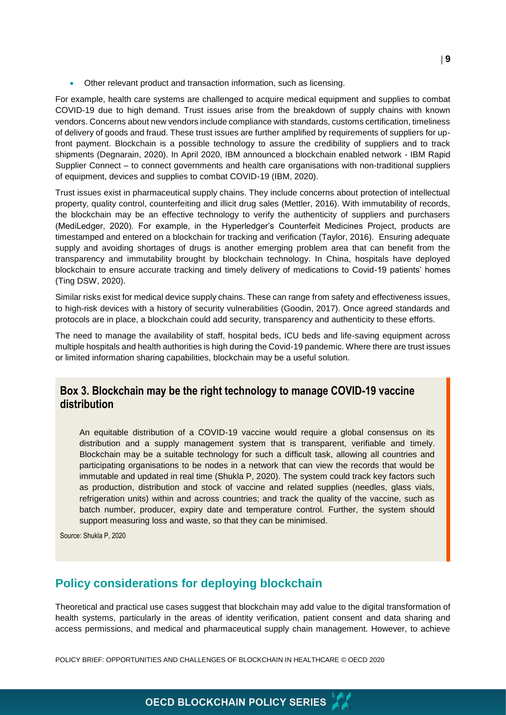Other relevant product and transaction information, such as licensing.

For example, health care systems are challenged to acquire medical equipment and supplies to combat COVID-19 due to high demand. Trust issues arise from the breakdown of supply chains with known vendors. Concerns about new vendors include compliance with standards, customs certification, timeliness of delivery of goods and fraud. These trust issues are further amplified by requirements of suppliers for upfront payment. Blockchain is a possible technology to assure the credibility of suppliers and to track shipments (Degnarain, 2020). In April 2020, IBM announced a blockchain enabled network - IBM Rapid Supplier Connect – to connect governments and health care organisations with non-traditional suppliers of equipment, devices and supplies to combat COVID-19 (IBM, 2020).

Trust issues exist in pharmaceutical supply chains. They include concerns about protection of intellectual property, quality control, counterfeiting and illicit drug sales (Mettler, 2016). With immutability of records, the blockchain may be an effective technology to verify the authenticity of suppliers and purchasers (MediLedger, 2020). For example, in the Hyperledger's Counterfeit Medicines Project, products are timestamped and entered on a blockchain for tracking and verification (Taylor, 2016). Ensuring adequate supply and avoiding shortages of drugs is another emerging problem area that can benefit from the transparency and immutability brought by blockchain technology. In China, hospitals have deployed blockchain to ensure accurate tracking and timely delivery of medications to Covid-19 patients' homes (Ting DSW, 2020).

Similar risks exist for medical device supply chains. These can range from safety and effectiveness issues, to high-risk devices with a history of security vulnerabilities (Goodin, 2017). Once agreed standards and protocols are in place, a blockchain could add security, transparency and authenticity to these efforts.

The need to manage the availability of staff, hospital beds, ICU beds and life-saving equipment across multiple hospitals and health authorities is high during the Covid-19 pandemic. Where there are trust issues or limited information sharing capabilities, blockchain may be a useful solution.

#### **Box 3. Blockchain may be the right technology to manage COVID-19 vaccine distribution**

An equitable distribution of a COVID-19 vaccine would require a global consensus on its distribution and a supply management system that is transparent, verifiable and timely. Blockchain may be a suitable technology for such a difficult task, allowing all countries and participating organisations to be nodes in a network that can view the records that would be immutable and updated in real time (Shukla P, 2020). The system could track key factors such as production, distribution and stock of vaccine and related supplies (needles, glass vials, refrigeration units) within and across countries; and track the quality of the vaccine, such as batch number, producer, expiry date and temperature control. Further, the system should support measuring loss and waste, so that they can be minimised.

Source: Shukla P, 2020

## **Policy considerations for deploying blockchain**

Theoretical and practical use cases suggest that blockchain may add value to the digital transformation of health systems, particularly in the areas of identity verification, patient consent and data sharing and access permissions, and medical and pharmaceutical supply chain management. However, to achieve

POLICY BRIEF: OPPORTUNITIES AND CHALLENGES OF BLOCKCHAIN IN HEALTHCARE © OECD 2020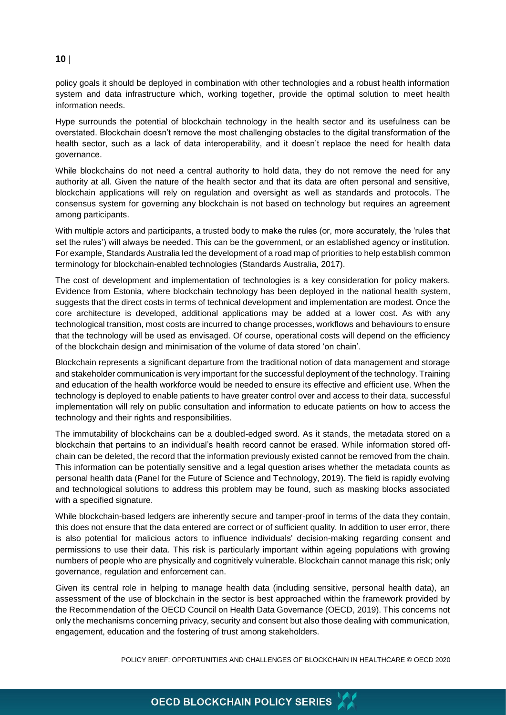#### **10**

policy goals it should be deployed in combination with other technologies and a robust health information system and data infrastructure which, working together, provide the optimal solution to meet health information needs.

Hype surrounds the potential of blockchain technology in the health sector and its usefulness can be overstated. Blockchain doesn't remove the most challenging obstacles to the digital transformation of the health sector, such as a lack of data interoperability, and it doesn't replace the need for health data governance.

While blockchains do not need a central authority to hold data, they do not remove the need for any authority at all. Given the nature of the health sector and that its data are often personal and sensitive, blockchain applications will rely on regulation and oversight as well as standards and protocols. The consensus system for governing any blockchain is not based on technology but requires an agreement among participants.

With multiple actors and participants, a trusted body to make the rules (or, more accurately, the 'rules that set the rules') will always be needed. This can be the government, or an established agency or institution. For example, Standards Australia led the development of a road map of priorities to help establish common terminology for blockchain-enabled technologies (Standards Australia, 2017).

The cost of development and implementation of technologies is a key consideration for policy makers. Evidence from Estonia, where blockchain technology has been deployed in the national health system, suggests that the direct costs in terms of technical development and implementation are modest. Once the core architecture is developed, additional applications may be added at a lower cost. As with any technological transition, most costs are incurred to change processes, workflows and behaviours to ensure that the technology will be used as envisaged. Of course, operational costs will depend on the efficiency of the blockchain design and minimisation of the volume of data stored 'on chain'.

Blockchain represents a significant departure from the traditional notion of data management and storage and stakeholder communication is very important for the successful deployment of the technology. Training and education of the health workforce would be needed to ensure its effective and efficient use. When the technology is deployed to enable patients to have greater control over and access to their data, successful implementation will rely on public consultation and information to educate patients on how to access the technology and their rights and responsibilities.

The immutability of blockchains can be a doubled-edged sword. As it stands, the metadata stored on a blockchain that pertains to an individual's health record cannot be erased. While information stored offchain can be deleted, the record that the information previously existed cannot be removed from the chain. This information can be potentially sensitive and a legal question arises whether the metadata counts as personal health data (Panel for the Future of Science and Technology, 2019). The field is rapidly evolving and technological solutions to address this problem may be found, such as masking blocks associated with a specified signature.

While blockchain-based ledgers are inherently secure and tamper-proof in terms of the data they contain, this does not ensure that the data entered are correct or of sufficient quality. In addition to user error, there is also potential for malicious actors to influence individuals' decision-making regarding consent and permissions to use their data. This risk is particularly important within ageing populations with growing numbers of people who are physically and cognitively vulnerable. Blockchain cannot manage this risk; only governance, regulation and enforcement can.

Given its central role in helping to manage health data (including sensitive, personal health data), an assessment of the use of blockchain in the sector is best approached within the framework provided by the Recommendation of the OECD Council on Health Data Governance (OECD, 2019). This concerns not only the mechanisms concerning privacy, security and consent but also those dealing with communication, engagement, education and the fostering of trust among stakeholders.

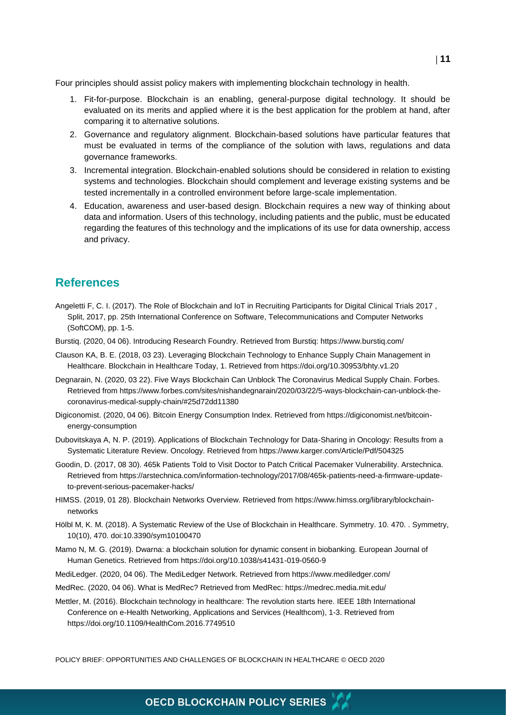Four principles should assist policy makers with implementing blockchain technology in health.

- 1. Fit-for-purpose. Blockchain is an enabling, general-purpose digital technology. It should be evaluated on its merits and applied where it is the best application for the problem at hand, after comparing it to alternative solutions.
- 2. Governance and regulatory alignment. Blockchain-based solutions have particular features that must be evaluated in terms of the compliance of the solution with laws, regulations and data governance frameworks.
- 3. Incremental integration. Blockchain-enabled solutions should be considered in relation to existing systems and technologies. Blockchain should complement and leverage existing systems and be tested incrementally in a controlled environment before large-scale implementation.
- 4. Education, awareness and user-based design. Blockchain requires a new way of thinking about data and information. Users of this technology, including patients and the public, must be educated regarding the features of this technology and the implications of its use for data ownership, access and privacy.

## **References**

- Angeletti F, C. I. (2017). The Role of Blockchain and IoT in Recruiting Participants for Digital Clinical Trials 2017 , Split, 2017, pp. 25th International Conference on Software, Telecommunications and Computer Networks (SoftCOM), pp. 1-5.
- Burstiq. (2020, 04 06). Introducing Research Foundry. Retrieved from Burstiq: https://www.burstiq.com/
- Clauson KA, B. E. (2018, 03 23). Leveraging Blockchain Technology to Enhance Supply Chain Management in Healthcare. Blockchain in Healthcare Today, 1. Retrieved from https://doi.org/10.30953/bhty.v1.20
- Degnarain, N. (2020, 03 22). Five Ways Blockchain Can Unblock The Coronavirus Medical Supply Chain. Forbes. Retrieved from https://www.forbes.com/sites/nishandegnarain/2020/03/22/5-ways-blockchain-can-unblock-thecoronavirus-medical-supply-chain/#25d72dd11380
- Digiconomist. (2020, 04 06). Bitcoin Energy Consumption Index. Retrieved from https://digiconomist.net/bitcoinenergy-consumption
- Dubovitskaya A, N. P. (2019). Applications of Blockchain Technology for Data-Sharing in Oncology: Results from a Systematic Literature Review. Oncology. Retrieved from https://www.karger.com/Article/Pdf/504325
- Goodin, D. (2017, 08 30). 465k Patients Told to Visit Doctor to Patch Critical Pacemaker Vulnerability. Arstechnica. Retrieved from https://arstechnica.com/information-technology/2017/08/465k-patients-need-a-firmware-updateto-prevent-serious-pacemaker-hacks/
- HIMSS. (2019, 01 28). Blockchain Networks Overview. Retrieved from https://www.himss.org/library/blockchainnetworks
- Hölbl M, K. M. (2018). A Systematic Review of the Use of Blockchain in Healthcare. Symmetry. 10. 470. . Symmetry, 10(10), 470. doi:10.3390/sym10100470
- Mamo N, M. G. (2019). Dwarna: a blockchain solution for dynamic consent in biobanking. European Journal of Human Genetics. Retrieved from https://doi.org/10.1038/s41431-019-0560-9
- MediLedger. (2020, 04 06). The MediLedger Network. Retrieved from https://www.mediledger.com/
- MedRec. (2020, 04 06). What is MedRec? Retrieved from MedRec: https://medrec.media.mit.edu/
- Mettler, M. (2016). Blockchain technology in healthcare: The revolution starts here. IEEE 18th International Conference on e-Health Networking, Applications and Services (Healthcom), 1-3. Retrieved from https://doi.org/10.1109/HealthCom.2016.7749510

POLICY BRIEF: OPPORTUNITIES AND CHALLENGES OF BLOCKCHAIN IN HEALTHCARE © OECD 2020